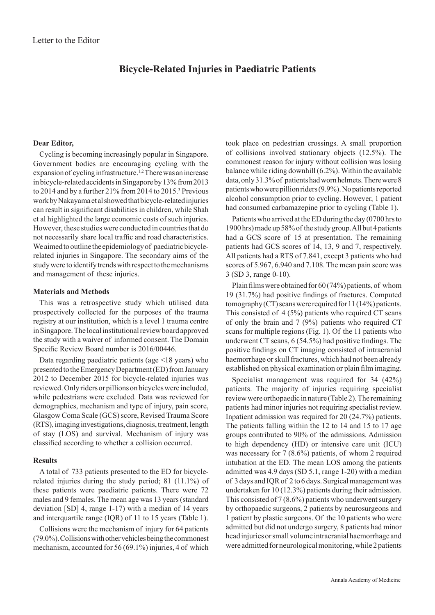# **Bicycle-Related Injuries in Paediatric Patients**

# **Dear Editor,**

Cycling is becoming increasingly popular in Singapore. Government bodies are encouraging cycling with the expansion of cycling infrastructure.<sup>1,2</sup> There was an increase in bicycle-related accidents in Singapore by 13% from 2013 to 2014 and by a further 21% from 2014 to 2015.3 Previous work by Nakayama et al showed that bicycle-related injuries can result in significant disabilities in children, while Shah et al highlighted the large economic costs of such injuries. However, these studies were conducted in countries that do not necessarily share local traffic and road characteristics. We aimed to outline the epidemiology of  paediatric bicyclerelated injuries in Singapore. The secondary aims of  the study were to identify trends with respect to the mechanisms and management of these injuries.

# **Materials and Methods**

This was a retrospective study which utilised data prospectively collected for the purposes of the trauma registry at our institution, which is a level 1 trauma centre in Singapore. The local institutional review board approved the study with a waiver of informed consent. The Domain Specific Review Board number is 2016/00446.

Data regarding paediatric patients (age <18 years) who presented to the Emergency Department (ED) from January 2012 to December 2015 for bicycle-related injuries was reviewed. Only riders or pillions on bicycles were included, while pedestrians were excluded. Data was reviewed for demographics, mechanism and type of  injury, pain score, Glasgow Coma Scale (GCS) score, Revised Trauma Score (RTS), imaging investigations, diagnosis, treatment, length of stay (LOS) and survival. Mechanism of injury was classified according to whether a collision occurred.

### **Results**

A total of 733 patients presented to the ED for bicyclerelated injuries during the study period; 81 (11.1%) of these patients were paediatric patients. There were 72 males and 9 females. The mean age was 13 years (standard deviation [SD] 4, range 1-17) with a median of 14 years and interquartile range (IQR) of  11 to 15 years (Table 1).

Collisions were the mechanism of injury for 64 patients (79.0%). Collisions with other vehicles being the commonest mechanism, accounted for 56 (69.1%) injuries, 4 of which

took place on pedestrian crossings. A small proportion of collisions involved stationary objects (12.5%). The commonest reason for injury without collision was losing balance while riding downhill (6.2%). Within the available data, only 31.3% of  patients had worn helmets. There were 8 patients who were pillion riders (9.9%). No patients reported alcohol consumption prior to cycling. However, 1 patient had consumed carbamazepine prior to cycling (Table 1).

Patients who arrived at the ED during the day (0700 hrs to 1900 hrs) made up 58% of  the study group. All but 4 patients had a GCS score of 15 at presentation. The remaining patients had GCS scores of 14, 13, 9 and 7, respectively. All patients had a RTS of 7.841, except 3 patients who had scores of 5.967, 6.940 and 7.108. The mean pain score was 3 (SD 3, range 0-10).

Plain films were obtained for 60 (74%) patients, of  whom 19 (31.7%) had positive findings of fractures. Computed tomography (CT) scans were required for 11 (14%) patients. This consisted of 4 (5%) patients who required CT scans of only the brain and 7 (9%)  patients who required CT scans for multiple regions (Fig. 1). Of the 11 patients who underwent CT scans, 6 (54.5%) had positive findings. The positive findings on CT imaging consisted of intracranial haemorrhage or skull fractures, which had not been already established on physical examination or plain film imaging.

Specialist management was required for 34 (42%) patients. The majority of injuries requiring specialist review were orthopaedic in nature (Table 2). The remaining patients had minor injuries not requiring specialist review. Inpatient admission was required for 20 (24.7%) patients. The patients falling within the 12 to 14 and 15 to 17 age groups contributed to 90% of the admissions. Admission to high dependency (HD) or intensive care unit (ICU) was necessary for 7 (8.6%) patients, of whom 2 required intubation at the ED. The mean LOS among the patients admitted was 4.9 days (SD 5.1, range 1-20) with a median of 3 days and IQR of 2 to 6 days. Surgical management was undertaken for 10 (12.3%) patients during their admission. This consisted of 7 (8.6%) patients who underwent surgery by orthopaedic surgeons, 2 patients by neurosurgeons and 1 patient by plastic surgeons. Of  the 10 patients who were admitted but did not undergo surgery, 8 patients had minor head injuries or small volume intracranial haemorrhage and were admitted for neurological monitoring, while 2 patients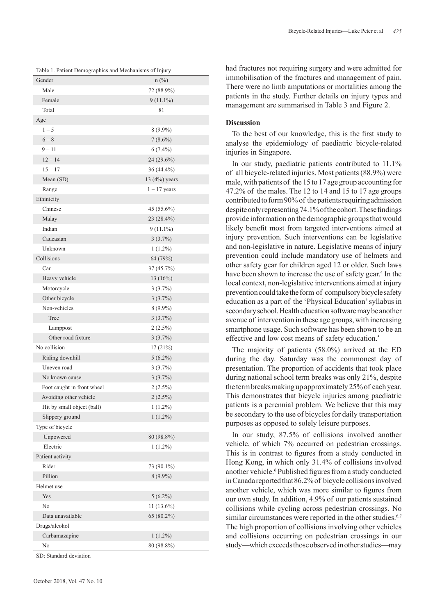|                            | Table 1. Patient Demographics and Mechanisms of Injury |  |  |  |  |  |
|----------------------------|--------------------------------------------------------|--|--|--|--|--|
| Gender                     | $n$ (%)                                                |  |  |  |  |  |
| Male                       | 72 (88.9%)                                             |  |  |  |  |  |
| Female                     | $9(11.1\%)$                                            |  |  |  |  |  |
| Total                      | 81                                                     |  |  |  |  |  |
| Age                        |                                                        |  |  |  |  |  |
| $1 - 5$                    | $8(9.9\%)$                                             |  |  |  |  |  |
| $6-8$                      | $7(8.6\%)$                                             |  |  |  |  |  |
| $9 - 11$                   | $6(7.4\%)$                                             |  |  |  |  |  |
| $12 - 14$                  | 24 (29.6%)                                             |  |  |  |  |  |
| $15 - 17$                  | 36 (44.4%)                                             |  |  |  |  |  |
| Mean (SD)                  | 13 (4%) years                                          |  |  |  |  |  |
| Range                      | $1 - 17$ years                                         |  |  |  |  |  |
| Ethinicity                 |                                                        |  |  |  |  |  |
| Chinese                    | 45 (55.6%)                                             |  |  |  |  |  |
| Malay                      | 23 (28.4%)                                             |  |  |  |  |  |
| Indian                     | $9(11.1\%)$                                            |  |  |  |  |  |
| Caucasian                  | 3(3.7%)                                                |  |  |  |  |  |
| Unknown                    | $1(1.2\%)$                                             |  |  |  |  |  |
| Collisions                 | 64 (79%)                                               |  |  |  |  |  |
| Car                        | 37 (45.7%)                                             |  |  |  |  |  |
| Heavy vehicle              | 13(16%)                                                |  |  |  |  |  |
| Motorcycle                 | 3(3.7%)                                                |  |  |  |  |  |
| Other bicycle              | 3(3.7%)                                                |  |  |  |  |  |
| Non-vehicles               | $8(9.9\%)$                                             |  |  |  |  |  |
| Tree                       | $3(3.7\%)$                                             |  |  |  |  |  |
| Lamppost                   | $2(2.5\%)$                                             |  |  |  |  |  |
| Other road fixture         | 3(3.7%)                                                |  |  |  |  |  |
| No collision               | 17(21%)                                                |  |  |  |  |  |
| Riding downhill            | $5(6.2\%)$                                             |  |  |  |  |  |
| Uneven road                | 3(3.7%)                                                |  |  |  |  |  |
| No known cause             | 3(3.7%)                                                |  |  |  |  |  |
| Foot caught in front wheel | $2(2.5\%)$                                             |  |  |  |  |  |
| Avoiding other vehicle     | $2(2.5\%)$                                             |  |  |  |  |  |
| Hit by small object (ball) | $1(1.2\%)$                                             |  |  |  |  |  |
| Slippery ground            | $1(1.2\%)$                                             |  |  |  |  |  |
| Type of bicycle            |                                                        |  |  |  |  |  |
| Unpowered                  | 80 (98.8%)                                             |  |  |  |  |  |
| Electric                   | $1(1.2\%)$                                             |  |  |  |  |  |
| Patient activity           |                                                        |  |  |  |  |  |
| Rider                      | 73 (90.1%)                                             |  |  |  |  |  |
| Pillion                    | $8(9.9\%)$                                             |  |  |  |  |  |
| Helmet use                 |                                                        |  |  |  |  |  |
| Yes                        | $5(6.2\%)$                                             |  |  |  |  |  |
| No                         | $11(13.6\%)$                                           |  |  |  |  |  |
| Data unavailable           | 65 (80.2%)                                             |  |  |  |  |  |
| Drugs/alcohol              |                                                        |  |  |  |  |  |
| Carbamazapine              | $1(1.2\%)$                                             |  |  |  |  |  |
| No                         | 80 (98.8%)                                             |  |  |  |  |  |

SD: Standard deviation

had fractures not requiring surgery and were admitted for immobilisation of  the fractures and management of pain. There were no limb amputations or mortalities among the patients in the study. Further details on injury types and management are summarised in Table 3 and Figure 2.

#### **Discussion**

To the best of our knowledge, this is the first study to analyse the epidemiology of paediatric bicycle-related injuries in Singapore.

In our study, paediatric patients contributed to 11.1% of all bicycle-related injuries. Most patients (88.9%) were male, with patients of the 15 to 17 age group accounting for 47.2% of  the males. The 12 to 14 and 15 to 17 age groups contributed to form 90% of the patients requiring admission despite only representing 74.1% of the cohort. These findings provide information on the demographic groups that would likely benefit most from targeted interventions aimed at injury prevention. Such interventions can be legislative and non-legislative in nature. Legislative means of injury prevention could include mandatory use of helmets and other safety gear for children aged 12 or older. Such laws have been shown to increase the use of safety gear.<sup>4</sup> In the local context, non-legislative interventions aimed at injury prevention could take the form of compulsory bicycle safety education as a part of the 'Physical Education' syllabus in secondary school. Health education software may be another avenue of intervention in these age groups, with increasing smartphone usage. Such software has been shown to be an effective and low cost means of safety education.<sup>5</sup>

The majority of patients (58.0%) arrived at the ED during the day. Saturday was the commonest day of presentation. The proportion of accidents that took place during national school term breaks was only 21%, despite the term breaks making up approximately 25% of each year. This demonstrates that bicycle injuries among paediatric patients is a perennial problem. We believe that this may be secondary to the use of bicycles for daily transportation purposes as opposed to solely leisure purposes.

In our study, 87.5% of collisions involved another vehicle, of which 7% occurred on pedestrian crossings. This is in contrast to figures from a study conducted in Hong Kong, in which only 31.4% of collisions involved another vehicle.<sup>6</sup> Published figures from a study conducted in Canada reported that 86.2% of  bicycle collisions involved another vehicle, which was more similar to figures from our own study. In addition, 4.9% of  our patients sustained collisions while cycling across pedestrian crossings. No similar circumstances were reported in the other studies.<sup>6,7</sup> The high proportion of collisions involving other vehicles and collisions occurring on pedestrian crossings in our study—which exceeds those observed in other studies—may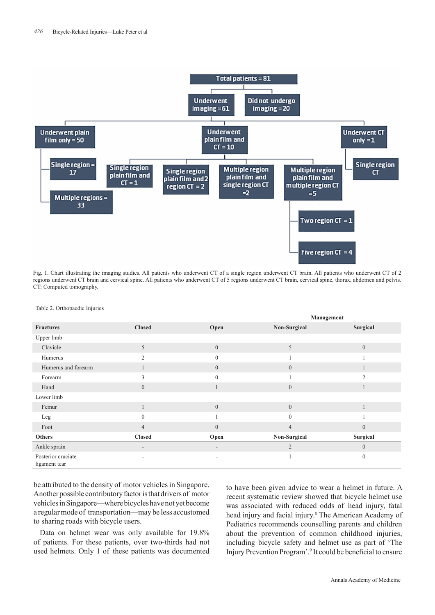

Fig. 1. Chart illustrating the imaging studies. All patients who underwent CT of a single region underwent CT brain. All patients who underwent CT of 2 regions underwent CT brain and cervical spine. All patients who underwent CT of 5 regions underwent CT brain, cervical spine, thorax, abdomen and pelvis. CT: Computed tomography.

|                                     |                          |                          | Management     |                  |
|-------------------------------------|--------------------------|--------------------------|----------------|------------------|
| <b>Fractures</b>                    | <b>Closed</b>            | Open                     | Non-Surgical   | Surgical         |
| Upper limb                          |                          |                          |                |                  |
| Clavicle                            | 5                        | $\overline{0}$           | 5              | $\mathbf{0}$     |
| Humerus                             | $\overline{2}$           | $\theta$                 |                |                  |
| Humerus and forearm                 |                          | $\overline{0}$           | $\overline{0}$ |                  |
| Forearm                             | 3                        | $\mathbf{0}$             |                | $\overline{2}$   |
| Hand                                | $\boldsymbol{0}$         | -                        | $\mathbf{0}$   | ш                |
| Lower limb                          |                          |                          |                |                  |
| Femur                               | $\mathbf{1}$             | $\overline{0}$           | $\mathbf{0}$   |                  |
| Leg                                 | $\mathbf{0}$             |                          | $\overline{0}$ |                  |
| Foot                                | $\overline{4}$           | $\overline{0}$           | $\overline{4}$ | $\overline{0}$   |
| <b>Others</b>                       | <b>Closed</b>            | Open                     | Non-Surgical   | Surgical         |
| Ankle sprain                        | $\overline{\phantom{a}}$ | $\overline{\phantom{a}}$ | $\overline{2}$ | $\overline{0}$   |
| Posterior cruciate<br>ligament tear |                          | ٠                        |                | $\boldsymbol{0}$ |

Table 2. Orthopaedic Injuries

be attributed to the density of motor vehicles in Singapore. Another possible contributory factor is that drivers of  motor vehicles in Singapore—where bicycles have not yet become a regular mode of  transportation—may be less accustomed to sharing roads with bicycle users.

Data on helmet wear was only available for 19.8% of patients. For these patients, over two-thirds had not used helmets. Only 1 of these patients was documented to have been given advice to wear a helmet in future. A recent systematic review showed that bicycle helmet use was associated with reduced odds of head injury, fatal head injury and facial injury.<sup>8</sup> The American Academy of Pediatrics recommends counselling parents and children about the prevention of common childhood injuries, including bicycle safety and helmet use as part of 'The Injury Prevention Program'.<sup>9</sup> It could be beneficial to ensure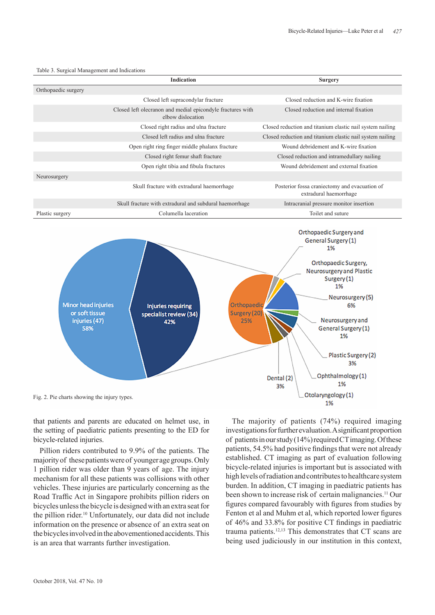



that patients and parents are educated on helmet use, in the setting of  paediatric patients presenting to the ED for bicycle-related injuries.

Pillion riders contributed to 9.9% of the patients. The majority of these patients were of younger age groups. Only 1 pillion rider was older than 9 years of age. The injury mechanism for all these patients was collisions with other vehicles. These injuries are particularly concerning as the Road Traffic Act in Singapore prohibits pillion riders on bicycles unless the bicycle is designed with an extra seat for the pillion rider.<sup>10</sup> Unfortunately, our data did not include information on the presence or absence of an extra seat on the bicycles involved in the abovementioned accidents. This is an area that warrants further investigation.

The majority of patients (74%) required imaging investigations for further evaluation. A significant proportion of patients in our study (14%) required CT imaging. Of these patients, 54.5% had positive findings that were not already established. CT imaging as part of evaluation following bicycle-related injuries is important but is associated with high levels of radiation and contributes to healthcare system burden. In addition, CT imaging in paediatric patients has been shown to increase risk of  certain malignancies.11 Our figures compared favourably with figures from studies by Fenton et al and Muhm et al, which reported lower figures of  46% and 33.8% for positive CT findings in paediatric trauma patients.12,13 This demonstrates that CT scans are being used judiciously in our institution in this context,